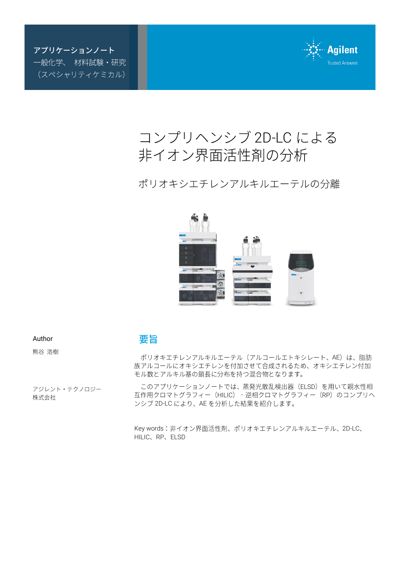アプリケーションノート 一般化学、 材料試験・研究 (スペシャリティケミカル)



# コンプリヘンシブ 2D-LC による 非イオン界面活性剤の分析

ポリオキシエチレンアルキルエーテルの分離



Author

熊谷 浩樹

アジレント・テクノロジー 株式会社

## 要旨

ポリオキエチレンアルキルエーテル(アルコールエトキシレート、AE)は、脂肪 族アルコールにオキシエチレンを付加させて合成されるため、オキシエチレン付加 モル数とアルキル基の鎖長に分布を持つ混合物となります。

このアプリケーションノートでは、蒸発光散乱検出器 (ELSD) を用いて親水性相 互作用クロマトグラフィー (HILIC) - 逆相クロマトグラフィー (RP) のコンプリへ ンシブ 2D-LC により、AE を分析した結果を紹介します。

Key words: 非イオン界面活性剤、ポリオキエチレンアルキルエーテル、2D-LC、 HILIC、RP、ELSD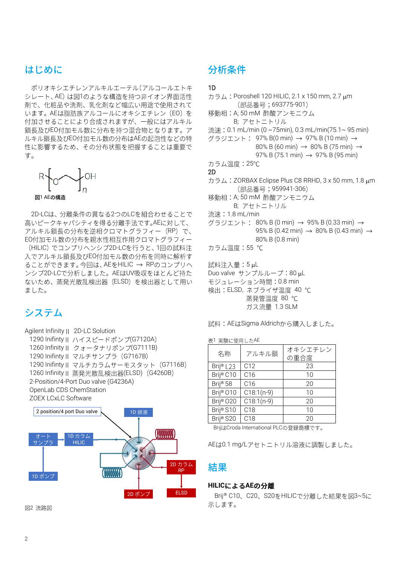## はじめに

ポリオキシエチレンアルキルエーテル(アルコールエトキ シレート、AE)は図1のような構造を持つ非イオン界面活性 剤で、化粧品や洗剤、乳化剤など幅広い用途で使用されて います。AEは脂肪族アルコールにオキシエチレン (EO)を 付加させることにより合成されますが、一般にはアルキル 鎖長及びEO付加モル数に分布を持つ混合物となります。ア ルキル鎖長及びEO付加モル数の分布はAEの起泡性などの特 性に影響するため、その分布状態を把握することは重要で す。



2D-LCは、分離条件の異なる2つのLCを組合わせることで 高いピークキャパシティを得る分離手法です。AEに対して、 アルキル鎖長の分布を逆相クロマトグラフィー (RP) で、 EO付加モル数の分布を親水性相互作用クロマトグラフィー (HILIC) でコンプリヘンシブ2D-LCを行うと、1回の試料注 入でアルキル鎖長及びEO付加モル数の分布を同時に解析す ることができます。今回は、AEをHILIC → RPのコンプリへ ンシブ2D-LCで分析しました。AEはUV吸収をほとんど持た ないため、蒸発光散乱検出器 (ELSD) を検出器として用い ました。

# システム

Agilent Infinity 2D-LC Solution 1290 Inifinty II ハイスピードポンプ(G7120A) 1260 Infinity II クォータナリポンプ(G7111B) 1290 Inifinty II マルチサンプラ (G7167B) 1290 Inifinty II マルチカラムサーモスタット (G7116B) 1260 Infinity II 蒸発光散乱検出器(ELSD) (G4260B) 2-Position/4-Port Duo valve (G4236A) OpenLab CDS ChemStation ZOEX LCxLC Software



図2 流路図

# 分析条件

#### 1D

```
\overline{D} \overline{D} : Poroshell 120 HILIC, 2.1 x 150 mm, 2.7 um
          (部品番号;693775-901)
移動相: A; 50 mM 酢酸アンモニウム
        B; 
流速: 0.1 mL/min (0 ~75min), 0.3 mL/min(75.1~ 95 min)
グラジエント: 97% B(0 min) → 97% B (10 min) →
                80% B (60 min) \rightarrow 80% B (75 min) \rightarrow97% B (75.1 min) \rightarrow 97% B (95 min)
カラム温度: 25℃
2D 
カラム: ZORBAX Eclipse Plus C8 RRHD, 3 x 50 mm, 1.8 μm
          (部品番号; 959941-306)
移動相: A; 50 mM 酢酸アンモニウム
        B; 
流速: 1.8 mL/min
グラジエント: 80% B (0 min) → 95% B (0.33 min) →
                95% B (0.42 min) \rightarrow 80% B (0.43 min) \rightarrow80% B (0.8 min)
カラム温度: 55 ℃
試料注入量:5 uL
Duo valve \forall y \in \mathcal{Y} \cup \mathcal{Y} \cup \mathcal{Y} \cup \mathcal{Y} \subseteq \mathcal{Y} \cup \mathcal{Y}モジュレーション時間: 0.8 min
```
検出: ELSD, ネブライザ温度 40 ℃ 蒸発管温度 80 ℃

ガス流量 1.3 SLM

試料: AEはSigma Aldrichから購入しました。

表1実験に使用したAE

| 名称                    | アルキル鎖           | オキシエチレン<br>の重合度 |
|-----------------------|-----------------|-----------------|
| Brij® L23             | C <sub>12</sub> | 23              |
| Brij <sup>®</sup> C10 | C <sub>16</sub> | 10              |
| Brij® 58              | C <sub>16</sub> | 20              |
| Brij® O10             | $C18:1(n-9)$    | 10              |
| Brij® O20             | $C18:1(n-9)$    | 20              |
| Brij® S10             | C <sub>18</sub> | 10              |
| Brij <sup>®</sup> S20 | C <sub>18</sub> | 20              |
|                       |                 |                 |

BrijはCroda International PLCの登録商標です。

AEは0.1 mg/Lアセトニトリル溶液に調製しました。

## 結果

#### **HILICによるAEの分離**

Brij® C10、C20、S20をHILICで分離した結果を図3~5に 示します。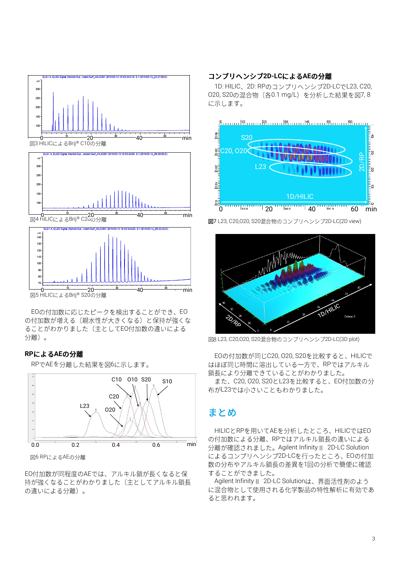

5 HILIC Brij® S20 0 20 40 min

 $\mathbf{a}$ 

EOの付加数に応じたピークを検出することができ、EO

の付加数が増える(親水性が大きくなる)と保持が強くな ることがわかりました(主としてEO付加数の違いによる 分離)。

#### **RPによるAEの分離**

RPでAEを分離した結果を図6に示します。



図6 RPによるAEの分離

EO付加数が同程度のAEでは、アルキル鎖が長くなると保 持が強くなることがわかりました(主としてアルキル鎖長 の違いによる分離)。

### コンプリヘンシブ2D-LCによるAEの分離

1D: HILIC、2D: RPのコンプリヘンシブ2D-LCでL23, C20, 020, S20の混合物 (各0.1 mg/L) を分析した結果を図7, 8 に示します。



図7 L23, C20,020, S20混合物のコンプリヘンシブ2D-LC(2D view)



図8 L23, C20,O20, S20混合物のコンプリヘンシブ2D-LC(3D plot)

EOの付加数が同じC20, O20, S20を比較すると、HILICで はほぼ同じ時間に溶出している一方で、RPではアルキル 鎖長により分離できていることがわかりました。 また、C20, O20, S20とL23を比較すると、EO付加数の分 布がL23では小さいこともわかりました。

# まとめ

HILICとRPを用いてAEを分析したところ、HILICではEO の付加数による分離、RPではアルキル鎖長の違いによる 分離が確認されました。Agilent Infinity II 2D-LC Solution によるコンプリヘンシブ2D-LCを行ったところ、EOの付加 数の分布やアルキル鎖長の差異を1回の分析で簡便に確認 することができました。

Agilent Infinity II 2D-LC Solutionは、界面活性剤のよう に混合物として使用される化学製品の特性解析に有効であ ると思われます。